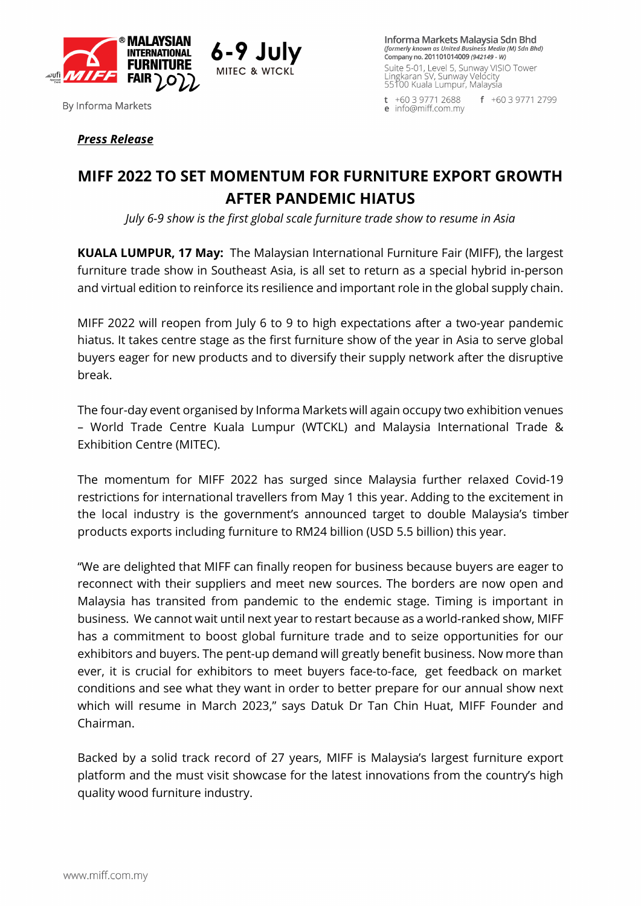

**By Informa Markets** 

Informa Markets Malaysia Sdn Bhd (formerly known as United Business Media (M) Sdn Bhd) Company no. 201101014009 (942149 - W) Suite 5-01, Level 5, Sunway VISIO Tower<br>Lingkaran SV, Sunway Velocity<br>55100 Kuala Lumpur, Malaysia

 $t + 60397712688$  $f + 60397712799$ e info@miff.com.mv

# *Press Release*

# **MIFF 2022 TO SET MOMENTUM FOR FURNITURE EXPORT GROWTH AFTER PANDEMIC HIATUS**

*July 6-9 show is the first global scale furniture trade show to resume in Asia*

**KUALA LUMPUR, 17 May:** The Malaysian International Furniture Fair (MIFF), the largest furniture trade show in Southeast Asia, is all set to return as a special hybrid in-person and virtual edition to reinforce its resilience and important role in the global supply chain.

MIFF 2022 will reopen from July 6 to 9 to high expectations after a two-year pandemic hiatus. It takes centre stage as the first furniture show of the year in Asia to serve global buyers eager for new products and to diversify their supply network after the disruptive break.

The four-day event organised by Informa Markets will again occupy two exhibition venues – World Trade Centre Kuala Lumpur (WTCKL) and Malaysia International Trade & Exhibition Centre (MITEC).

The momentum for MIFF 2022 has surged since Malaysia further relaxed Covid-19 restrictions for international travellers from May 1 this year. Adding to the excitement in the local industry is the government's announced target to double Malaysia's timber products exports including furniture to RM24 billion (USD 5.5 billion) this year.

"We are delighted that MIFF can finally reopen for business because buyers are eager to reconnect with their suppliers and meet new sources. The borders are now open and Malaysia has transited from pandemic to the endemic stage. Timing is important in business. We cannot wait until next year to restart because as a world-ranked show, MIFF has a commitment to boost global furniture trade and to seize opportunities for our exhibitors and buyers. The pent-up demand will greatly benefit business. Now more than ever, it is crucial for exhibitors to meet buyers face-to-face, get feedback on market conditions and see what they want in order to better prepare for our annual show next which will resume in March 2023," says Datuk Dr Tan Chin Huat, MIFF Founder and Chairman.

Backed by a solid track record of 27 years, MIFF is Malaysia's largest furniture export platform and the must visit showcase for the latest innovations from the country's high quality wood furniture industry.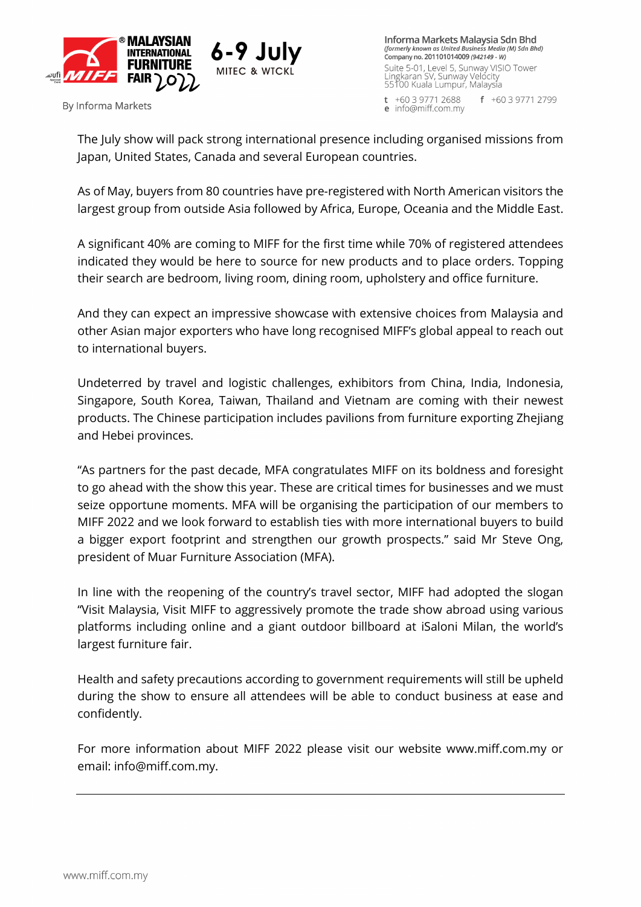

**By Informa Markets** 

Informa Markets Malaysia Sdn Bhd (formerly known as United Business Media (M) Sdn Bhd) Company no. 201101014009 (942149 - W) Suite 5-01, Level 5, Sunway VISIO Tower<br>Lingkaran SV, Sunway Velocity<br>55100 Kuala Lumpur, Malaysia

 $t + 60397712688$  $f + 60397712799$ e info@miff.com.mv

The July show will pack strong international presence including organised missions from Japan, United States, Canada and several European countries.

As of May, buyers from 80 countries have pre-registered with North American visitors the largest group from outside Asia followed by Africa, Europe, Oceania and the Middle East.

A significant 40% are coming to MIFF for the first time while 70% of registered attendees indicated they would be here to source for new products and to place orders. Topping their search are bedroom, living room, dining room, upholstery and office furniture.

And they can expect an impressive showcase with extensive choices from Malaysia and other Asian major exporters who have long recognised MIFF's global appeal to reach out to international buyers.

Undeterred by travel and logistic challenges, exhibitors from China, India, Indonesia, Singapore, South Korea, Taiwan, Thailand and Vietnam are coming with their newest products. The Chinese participation includes pavilions from furniture exporting Zhejiang and Hebei provinces.

"As partners for the past decade, MFA congratulates MIFF on its boldness and foresight to go ahead with the show this year. These are critical times for businesses and we must seize opportune moments. MFA will be organising the participation of our members to MIFF 2022 and we look forward to establish ties with more international buyers to build a bigger export footprint and strengthen our growth prospects." said Mr Steve Ong, president of Muar Furniture Association (MFA).

In line with the reopening of the country's travel sector, MIFF had adopted the slogan "Visit Malaysia, Visit MIFF to aggressively promote the trade show abroad using various platforms including online and a giant outdoor billboard at iSaloni Milan, the world's largest furniture fair.

Health and safety precautions according to government requirements will still be upheld during the show to ensure all attendees will be able to conduct business at ease and confidently.

For more information about MIFF 2022 please visit our website www.miff.com.my or email: info@miff.com.my.